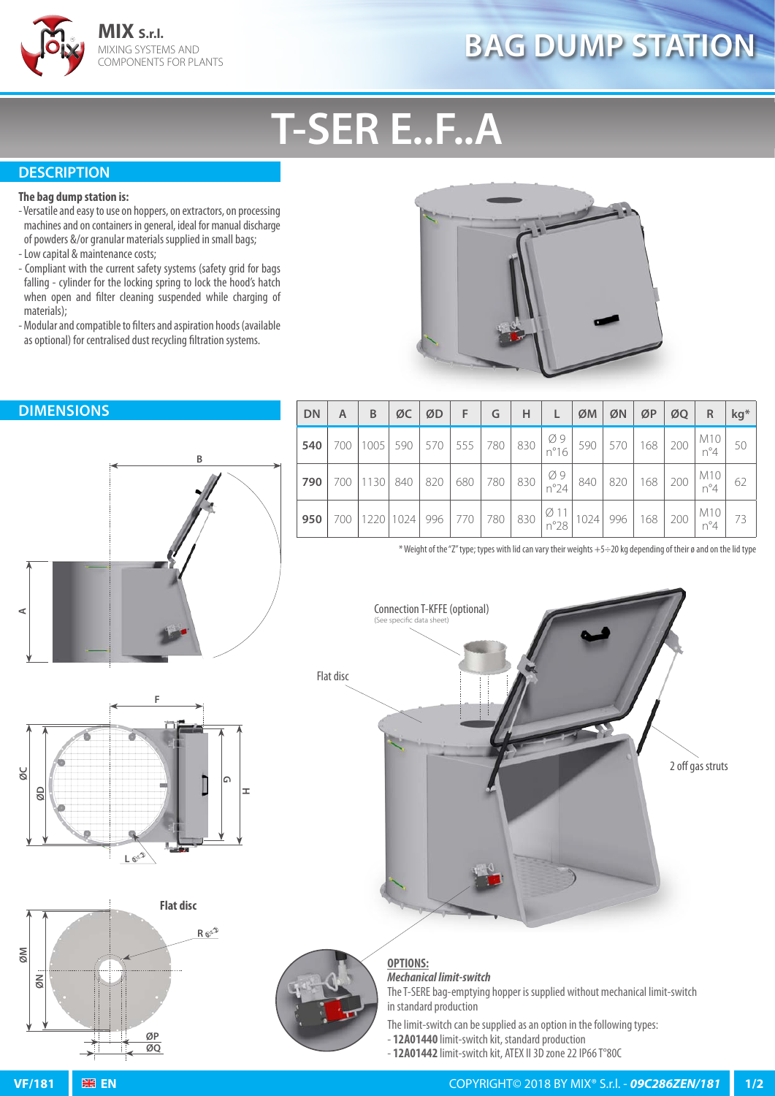

# **BAG DUMP STATION**

# **T-SER E..F..A**

## **DESCRIPTION**

#### **The bag dump station is:**

- Versatile and easy to use on hoppers, on extractors, on processing machines and on containers in general, ideal for manual discharge of powders &/or granular materials supplied in small bags;
- Low capital & maintenance costs;
- Compliant with the current safety systems (safety grid for bags falling - cylinder for the locking spring to lock the hood's hatch when open and filter cleaning suspended while charging of materials);
- Modular and compatible to filters and aspiration hoods (available as optional) for centralised dust recycling filtration systems.





| $ DN A B QC QD F G H L QM QN QP QQ R Rg*$                                                                                                           |  |  |  |  |  |  |                                                                                                                                                                                  |  |
|-----------------------------------------------------------------------------------------------------------------------------------------------------|--|--|--|--|--|--|----------------------------------------------------------------------------------------------------------------------------------------------------------------------------------|--|
|                                                                                                                                                     |  |  |  |  |  |  | <b>540</b> 700 1005 590 570 555 780 830 $\begin{array}{ c c c c c c c c c c c c } \hline \end{array}$ 590 570 168 200 $\begin{array}{ c c c c c c c c c } \hline \end{array}$ 50 |  |
| <b>790</b> 700 1130 840 820 680 780 830 $\begin{bmatrix} 0.9 \\ 0.20 \end{bmatrix}$ 840 820 168 200 $\begin{bmatrix} 0.110 \\ 0.4 \end{bmatrix}$ 62 |  |  |  |  |  |  |                                                                                                                                                                                  |  |
| <b>950</b> 700 1220 1024 996 770 780 830 $\begin{array}{ c c c c c c c c c } \hline \end{array}$ 950 700 1220 1024 996 73                           |  |  |  |  |  |  |                                                                                                                                                                                  |  |

\* Weight of the "Z" type; types with lid can vary their weights +5÷20 kg depending of their ø and on the lid type





**OPTIONS:** *Mechanical limit-switch* The T-SERE bag-emptying hopper is supplied without mechanical limit-switch in standard production

The limit-switch can be supplied as an option in the following types:

- **12A01440** limit-switch kit, standard production
- **12A01442** limit-switch kit, ATEX II 3D zone 22 IP66 T°80C